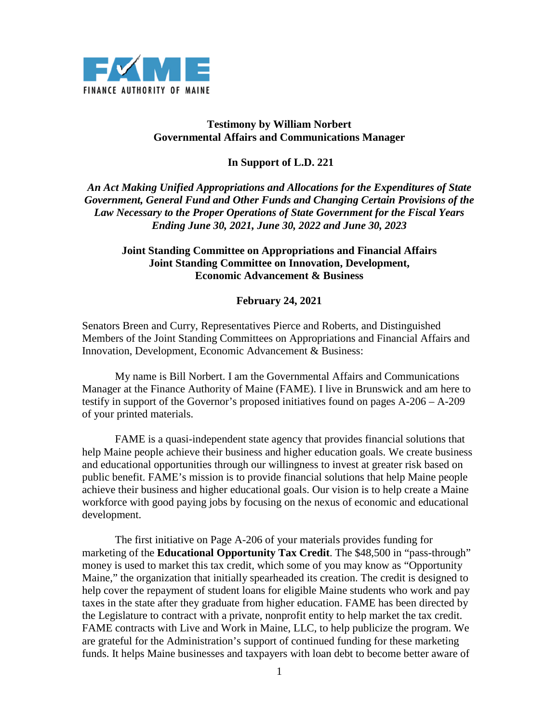

## **Testimony by William Norbert Governmental Affairs and Communications Manager**

## **In Support of L.D. 221**

*An Act Making Unified Appropriations and Allocations for the Expenditures of State Government, General Fund and Other Funds and Changing Certain Provisions of the Law Necessary to the Proper Operations of State Government for the Fiscal Years Ending June 30, 2021, June 30, 2022 and June 30, 2023* 

## **Joint Standing Committee on Appropriations and Financial Affairs Joint Standing Committee on Innovation, Development, Economic Advancement & Business**

## **February 24, 2021**

Senators Breen and Curry, Representatives Pierce and Roberts, and Distinguished Members of the Joint Standing Committees on Appropriations and Financial Affairs and Innovation, Development, Economic Advancement & Business:

My name is Bill Norbert. I am the Governmental Affairs and Communications Manager at the Finance Authority of Maine (FAME). I live in Brunswick and am here to testify in support of the Governor's proposed initiatives found on pages A-206 – A-209 of your printed materials.

FAME is a quasi-independent state agency that provides financial solutions that help Maine people achieve their business and higher education goals. We create business and educational opportunities through our willingness to invest at greater risk based on public benefit. FAME's mission is to provide financial solutions that help Maine people achieve their business and higher educational goals. Our vision is to help create a Maine workforce with good paying jobs by focusing on the nexus of economic and educational development.

The first initiative on Page A-206 of your materials provides funding for marketing of the **Educational Opportunity Tax Credit**. The \$48,500 in "pass-through" money is used to market this tax credit, which some of you may know as "Opportunity Maine," the organization that initially spearheaded its creation. The credit is designed to help cover the repayment of student loans for eligible Maine students who work and pay taxes in the state after they graduate from higher education. FAME has been directed by the Legislature to contract with a private, nonprofit entity to help market the tax credit. FAME contracts with Live and Work in Maine, LLC, to help publicize the program. We are grateful for the Administration's support of continued funding for these marketing funds. It helps Maine businesses and taxpayers with loan debt to become better aware of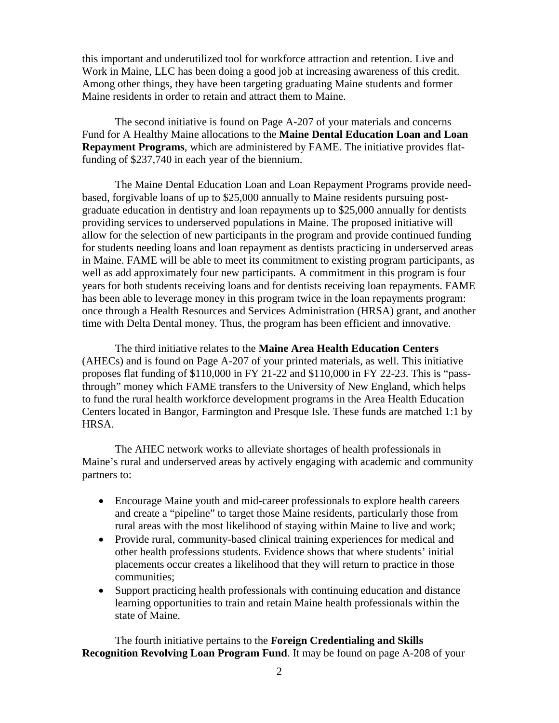this important and underutilized tool for workforce attraction and retention. Live and Work in Maine, LLC has been doing a good job at increasing awareness of this credit. Among other things, they have been targeting graduating Maine students and former Maine residents in order to retain and attract them to Maine.

The second initiative is found on Page A-207 of your materials and concerns Fund for A Healthy Maine allocations to the **Maine Dental Education Loan and Loan Repayment Programs**, which are administered by FAME. The initiative provides flatfunding of \$237,740 in each year of the biennium.

The Maine Dental Education Loan and Loan Repayment Programs provide needbased, forgivable loans of up to \$25,000 annually to Maine residents pursuing postgraduate education in dentistry and loan repayments up to \$25,000 annually for dentists providing services to underserved populations in Maine. The proposed initiative will allow for the selection of new participants in the program and provide continued funding for students needing loans and loan repayment as dentists practicing in underserved areas in Maine. FAME will be able to meet its commitment to existing program participants, as well as add approximately four new participants. A commitment in this program is four years for both students receiving loans and for dentists receiving loan repayments. FAME has been able to leverage money in this program twice in the loan repayments program: once through a Health Resources and Services Administration (HRSA) grant, and another time with Delta Dental money. Thus, the program has been efficient and innovative.

The third initiative relates to the **Maine Area Health Education Centers** (AHECs) and is found on Page A-207 of your printed materials, as well. This initiative proposes flat funding of \$110,000 in FY 21-22 and \$110,000 in FY 22-23. This is "passthrough" money which FAME transfers to the University of New England, which helps to fund the rural health workforce development programs in the Area Health Education Centers located in Bangor, Farmington and Presque Isle. These funds are matched 1:1 by HRSA.

The AHEC network works to alleviate shortages of health professionals in Maine's rural and underserved areas by actively engaging with academic and community partners to:

- Encourage Maine youth and mid-career professionals to explore health careers and create a "pipeline" to target those Maine residents, particularly those from rural areas with the most likelihood of staying within Maine to live and work;
- Provide rural, community-based clinical training experiences for medical and other health professions students. Evidence shows that where students' initial placements occur creates a likelihood that they will return to practice in those communities;
- Support practicing health professionals with continuing education and distance learning opportunities to train and retain Maine health professionals within the state of Maine.

The fourth initiative pertains to the **Foreign Credentialing and Skills Recognition Revolving Loan Program Fund**. It may be found on page A-208 of your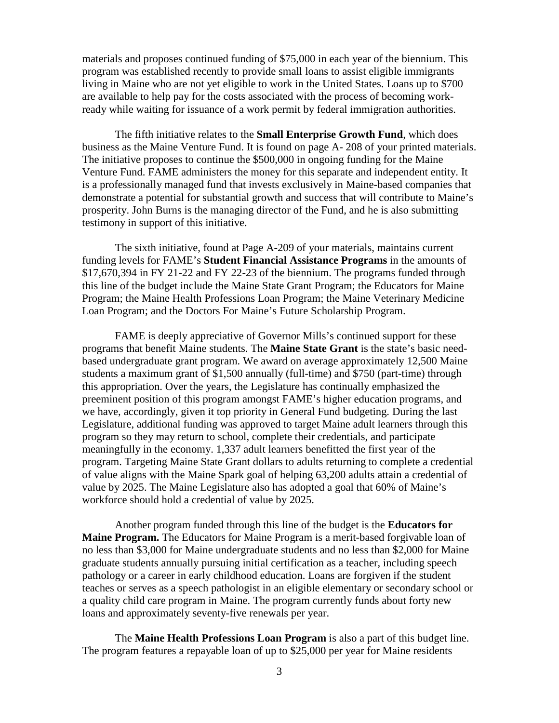materials and proposes continued funding of \$75,000 in each year of the biennium. This program was established recently to provide small loans to assist eligible immigrants living in Maine who are not yet eligible to work in the United States. Loans up to \$700 are available to help pay for the costs associated with the process of becoming workready while waiting for issuance of a work permit by federal immigration authorities.

The fifth initiative relates to the **Small Enterprise Growth Fund**, which does business as the Maine Venture Fund. It is found on page A- 208 of your printed materials. The initiative proposes to continue the \$500,000 in ongoing funding for the Maine Venture Fund. FAME administers the money for this separate and independent entity. It is a professionally managed fund that invests exclusively in Maine-based companies that demonstrate a potential for substantial growth and success that will contribute to Maine's prosperity. John Burns is the managing director of the Fund, and he is also submitting testimony in support of this initiative.

The sixth initiative, found at Page A-209 of your materials, maintains current funding levels for FAME's **Student Financial Assistance Programs** in the amounts of \$17,670,394 in FY 21-22 and FY 22-23 of the biennium. The programs funded through this line of the budget include the Maine State Grant Program; the Educators for Maine Program; the Maine Health Professions Loan Program; the Maine Veterinary Medicine Loan Program; and the Doctors For Maine's Future Scholarship Program.

FAME is deeply appreciative of Governor Mills's continued support for these programs that benefit Maine students. The **Maine State Grant** is the state's basic needbased undergraduate grant program. We award on average approximately 12,500 Maine students a maximum grant of \$1,500 annually (full-time) and \$750 (part-time) through this appropriation. Over the years, the Legislature has continually emphasized the preeminent position of this program amongst FAME's higher education programs, and we have, accordingly, given it top priority in General Fund budgeting. During the last Legislature, additional funding was approved to target Maine adult learners through this program so they may return to school, complete their credentials, and participate meaningfully in the economy. 1,337 adult learners benefitted the first year of the program. Targeting Maine State Grant dollars to adults returning to complete a credential of value aligns with the Maine Spark goal of helping 63,200 adults attain a credential of value by 2025. The Maine Legislature also has adopted a goal that 60% of Maine's workforce should hold a credential of value by 2025.

Another program funded through this line of the budget is the **Educators for Maine Program.** The Educators for Maine Program is a merit-based forgivable loan of no less than \$3,000 for Maine undergraduate students and no less than \$2,000 for Maine graduate students annually pursuing initial certification as a teacher, including speech pathology or a career in early childhood education. Loans are forgiven if the student teaches or serves as a speech pathologist in an eligible elementary or secondary school or a quality child care program in Maine. The program currently funds about forty new loans and approximately seventy-five renewals per year.

The **Maine Health Professions Loan Program** is also a part of this budget line. The program features a repayable loan of up to \$25,000 per year for Maine residents